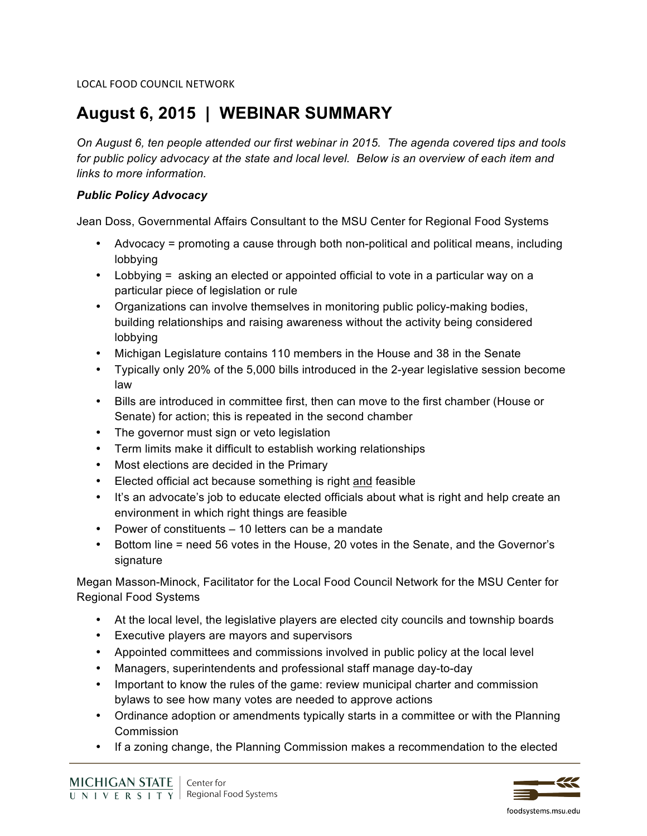LOCAL FOOD COUNCIL NETWORK

# **August 6, 2015 | WEBINAR SUMMARY**

*On August 6, ten people attended our first webinar in 2015. The agenda covered tips and tools*  for public policy advocacy at the state and local level. Below is an overview of each item and *links to more information.*

#### *Public Policy Advocacy*

Jean Doss, Governmental Affairs Consultant to the MSU Center for Regional Food Systems

- Advocacy = promoting a cause through both non-political and political means, including lobbying
- Lobbying = asking an elected or appointed official to vote in a particular way on a particular piece of legislation or rule
- Organizations can involve themselves in monitoring public policy-making bodies, building relationships and raising awareness without the activity being considered lobbying
- Michigan Legislature contains 110 members in the House and 38 in the Senate
- Typically only 20% of the 5,000 bills introduced in the 2-year legislative session become law
- Bills are introduced in committee first, then can move to the first chamber (House or Senate) for action; this is repeated in the second chamber
- The governor must sign or veto legislation
- Term limits make it difficult to establish working relationships
- Most elections are decided in the Primary
- Elected official act because something is right and feasible
- It's an advocate's job to educate elected officials about what is right and help create an environment in which right things are feasible
- Power of constituents 10 letters can be a mandate
- Bottom line = need 56 votes in the House, 20 votes in the Senate, and the Governor's signature

Megan Masson-Minock, Facilitator for the Local Food Council Network for the MSU Center for Regional Food Systems

- At the local level, the legislative players are elected city councils and township boards
- Executive players are mayors and supervisors
- Appointed committees and commissions involved in public policy at the local level
- Managers, superintendents and professional staff manage day-to-day
- Important to know the rules of the game: review municipal charter and commission bylaws to see how many votes are needed to approve actions
- Ordinance adoption or amendments typically starts in a committee or with the Planning Commission
- If a zoning change, the Planning Commission makes a recommendation to the elected



foodsystems.msu.edu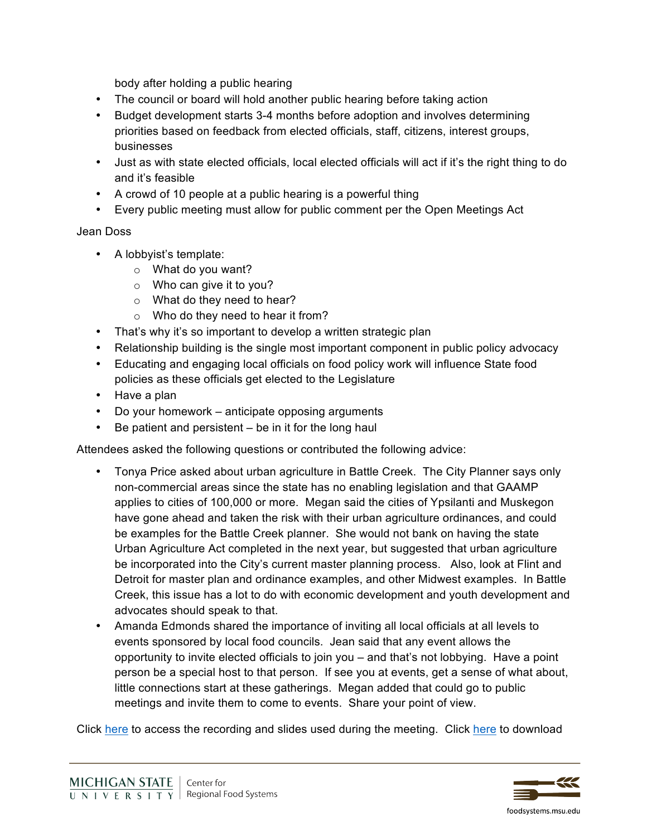body after holding a public hearing

- The council or board will hold another public hearing before taking action
- Budget development starts 3-4 months before adoption and involves determining priorities based on feedback from elected officials, staff, citizens, interest groups, businesses
- Just as with state elected officials, local elected officials will act if it's the right thing to do and it's feasible
- A crowd of 10 people at a public hearing is a powerful thing
- Every public meeting must allow for public comment per the Open Meetings Act

#### Jean Doss

- A lobbyist's template:
	- $\circ$  What do you want?
	- $\circ$  Who can give it to you?
	- o What do they need to hear?
	- o Who do they need to hear it from?
- That's why it's so important to develop a written strategic plan
- Relationship building is the single most important component in public policy advocacy
- Educating and engaging local officials on food policy work will influence State food policies as these officials get elected to the Legislature
- Have a plan
- Do your homework anticipate opposing arguments
- Be patient and persistent be in it for the long haul

Attendees asked the following questions or contributed the following advice:

- Tonya Price asked about urban agriculture in Battle Creek. The City Planner says only non-commercial areas since the state has no enabling legislation and that GAAMP applies to cities of 100,000 or more. Megan said the cities of Ypsilanti and Muskegon have gone ahead and taken the risk with their urban agriculture ordinances, and could be examples for the Battle Creek planner. She would not bank on having the state Urban Agriculture Act completed in the next year, but suggested that urban agriculture be incorporated into the City's current master planning process. Also, look at Flint and Detroit for master plan and ordinance examples, and other Midwest examples. In Battle Creek, this issue has a lot to do with economic development and youth development and advocates should speak to that.
- Amanda Edmonds shared the importance of inviting all local officials at all levels to events sponsored by local food councils. Jean said that any event allows the opportunity to invite elected officials to join you – and that's not lobbying. Have a point person be a special host to that person. If see you at events, get a sense of what about, little connections start at these gatherings. Megan added that could go to public meetings and invite them to come to events. Share your point of view.

Click [here](http://foodsystems.msu.edu/resources/public_policy_advocacy_webinar) to access the recording and slides used during the meeting. Click [here](https://www.dropbox.com/s/mr8ajupb33o4y67/MI Local Food Council Network - Developing a Road Map for Action_FINAL.doc?dl=0) to download